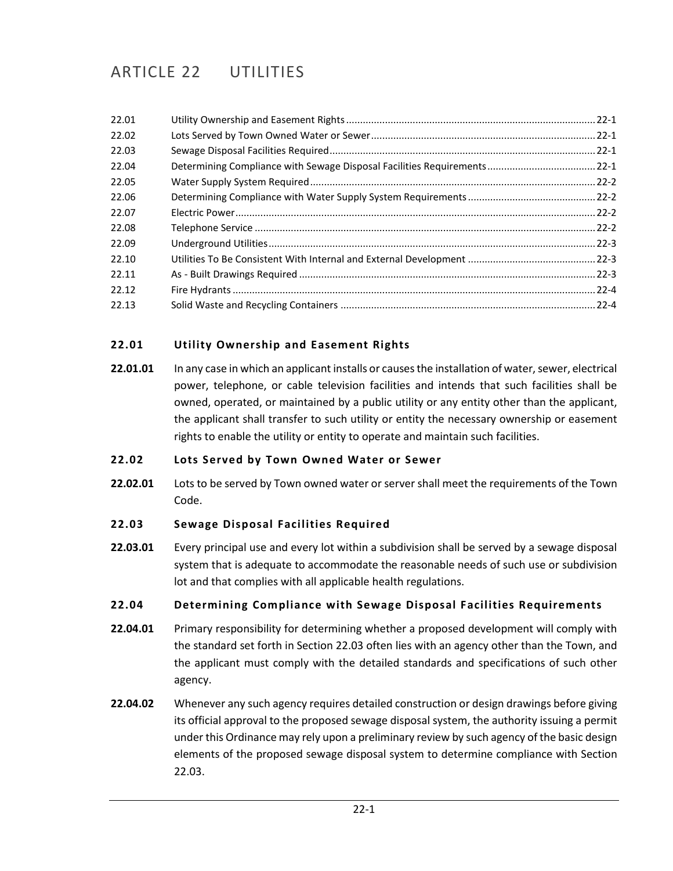# ARTICLE 22 UTILITIES

| 22.01 |  |
|-------|--|
| 22.02 |  |
| 22.03 |  |
| 22.04 |  |
| 22.05 |  |
| 22.06 |  |
| 22.07 |  |
| 22.08 |  |
| 22.09 |  |
| 22.10 |  |
| 22.11 |  |
| 22.12 |  |
| 22.13 |  |
|       |  |

## <span id="page-0-0"></span>**22.01 Utility Ownership and Easement Rights**

**22.01.01** In any case in which an applicant installs or causes the installation of water, sewer, electrical power, telephone, or cable television facilities and intends that such facilities shall be owned, operated, or maintained by a public utility or any entity other than the applicant, the applicant shall transfer to such utility or entity the necessary ownership or easement rights to enable the utility or entity to operate and maintain such facilities.

#### <span id="page-0-1"></span>**22.02 Lots Served by Town Owned Water or Sewer**

**22.02.01** Lots to be served by Town owned water or server shall meet the requirements of the Town Code.

## <span id="page-0-2"></span>**22.03 Sewage Disposal Facilities Required**

**22.03.01** Every principal use and every lot within a subdivision shall be served by a sewage disposal system that is adequate to accommodate the reasonable needs of such use or subdivision lot and that complies with all applicable health regulations.

## <span id="page-0-3"></span>**22.04 Determining Compliance with Sewage Disposal Facilities Requirements**

- **22.04.01** Primary responsibility for determining whether a proposed development will comply with the standard set forth in Section 22.03 often lies with an agency other than the Town, and the applicant must comply with the detailed standards and specifications of such other agency.
- **22.04.02** Whenever any such agency requires detailed construction or design drawings before giving its official approval to the proposed sewage disposal system, the authority issuing a permit under this Ordinance may rely upon a preliminary review by such agency of the basic design elements of the proposed sewage disposal system to determine compliance with Section 22.03.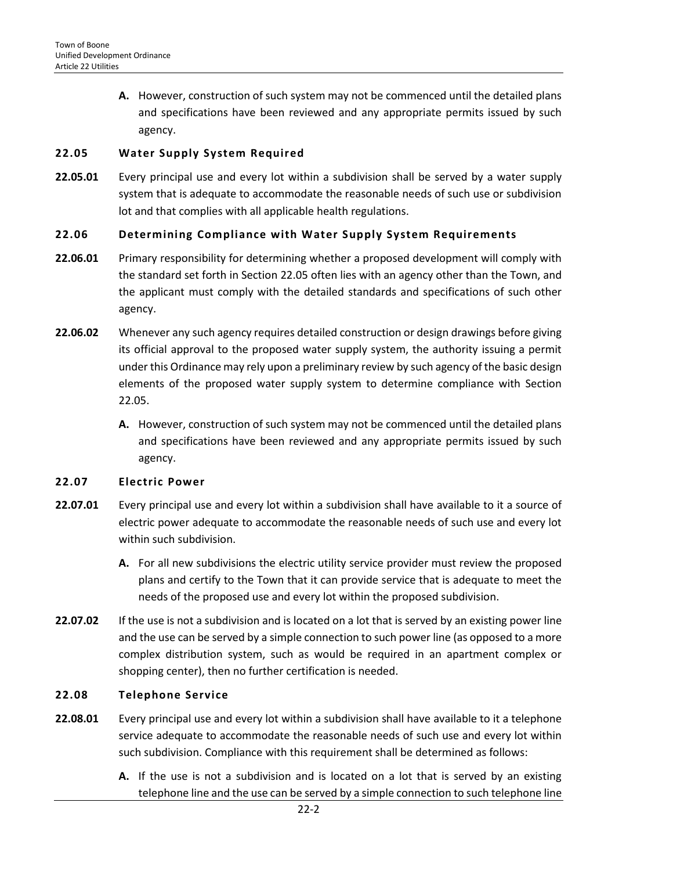**A.** However, construction of such system may not be commenced until the detailed plans and specifications have been reviewed and any appropriate permits issued by such agency.

#### <span id="page-1-0"></span>**22.05 Water Supply System Required**

**22.05.01** Every principal use and every lot within a subdivision shall be served by a water supply system that is adequate to accommodate the reasonable needs of such use or subdivision lot and that complies with all applicable health regulations.

## <span id="page-1-1"></span>**22.06 Determining Compliance with Water Supply System Requirements**

- **22.06.01** Primary responsibility for determining whether a proposed development will comply with the standard set forth in Section 22.05 often lies with an agency other than the Town, and the applicant must comply with the detailed standards and specifications of such other agency.
- **22.06.02** Whenever any such agency requires detailed construction or design drawings before giving its official approval to the proposed water supply system, the authority issuing a permit under this Ordinance may rely upon a preliminary review by such agency of the basic design elements of the proposed water supply system to determine compliance with Section 22.05.
	- **A.** However, construction of such system may not be commenced until the detailed plans and specifications have been reviewed and any appropriate permits issued by such agency.

#### <span id="page-1-2"></span>**22.07 Electric Power**

- **22.07.01** Every principal use and every lot within a subdivision shall have available to it a source of electric power adequate to accommodate the reasonable needs of such use and every lot within such subdivision.
	- **A.** For all new subdivisions the electric utility service provider must review the proposed plans and certify to the Town that it can provide service that is adequate to meet the needs of the proposed use and every lot within the proposed subdivision.
- **22.07.02** If the use is not a subdivision and is located on a lot that is served by an existing power line and the use can be served by a simple connection to such power line (as opposed to a more complex distribution system, such as would be required in an apartment complex or shopping center), then no further certification is needed.

#### <span id="page-1-3"></span>**22.08 Telephone Service**

- **22.08.01** Every principal use and every lot within a subdivision shall have available to it a telephone service adequate to accommodate the reasonable needs of such use and every lot within such subdivision. Compliance with this requirement shall be determined as follows:
	- **A.** If the use is not a subdivision and is located on a lot that is served by an existing telephone line and the use can be served by a simple connection to such telephone line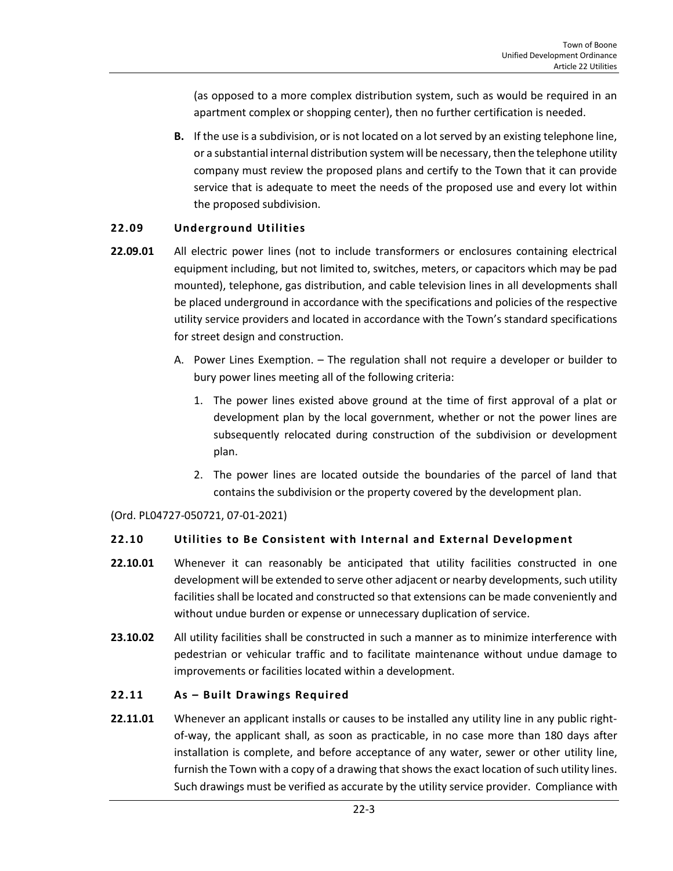(as opposed to a more complex distribution system, such as would be required in an apartment complex or shopping center), then no further certification is needed.

**B.** If the use is a subdivision, or is not located on a lot served by an existing telephone line, or a substantial internal distribution system will be necessary, then the telephone utility company must review the proposed plans and certify to the Town that it can provide service that is adequate to meet the needs of the proposed use and every lot within the proposed subdivision.

## <span id="page-2-0"></span>**22.09 Underground Utilities**

- **22.09.01** All electric power lines (not to include transformers or enclosures containing electrical equipment including, but not limited to, switches, meters, or capacitors which may be pad mounted), telephone, gas distribution, and cable television lines in all developments shall be placed underground in accordance with the specifications and policies of the respective utility service providers and located in accordance with the Town's standard specifications for street design and construction.
	- A. Power Lines Exemption. The regulation shall not require a developer or builder to bury power lines meeting all of the following criteria:
		- 1. The power lines existed above ground at the time of first approval of a plat or development plan by the local government, whether or not the power lines are subsequently relocated during construction of the subdivision or development plan.
		- 2. The power lines are located outside the boundaries of the parcel of land that contains the subdivision or the property covered by the development plan.

(Ord. PL04727-050721, 07-01-2021)

#### <span id="page-2-1"></span>**22.10 Utilities to Be Consistent with Internal and External Development**

- **22.10.01** Whenever it can reasonably be anticipated that utility facilities constructed in one development will be extended to serve other adjacent or nearby developments, such utility facilities shall be located and constructed so that extensions can be made conveniently and without undue burden or expense or unnecessary duplication of service.
- **23.10.02** All utility facilities shall be constructed in such a manner as to minimize interference with pedestrian or vehicular traffic and to facilitate maintenance without undue damage to improvements or facilities located within a development.

#### <span id="page-2-2"></span>**22.11 As – Built Drawings Required**

**22.11.01** Whenever an applicant installs or causes to be installed any utility line in any public rightof-way, the applicant shall, as soon as practicable, in no case more than 180 days after installation is complete, and before acceptance of any water, sewer or other utility line, furnish the Town with a copy of a drawing that shows the exact location of such utility lines. Such drawings must be verified as accurate by the utility service provider. Compliance with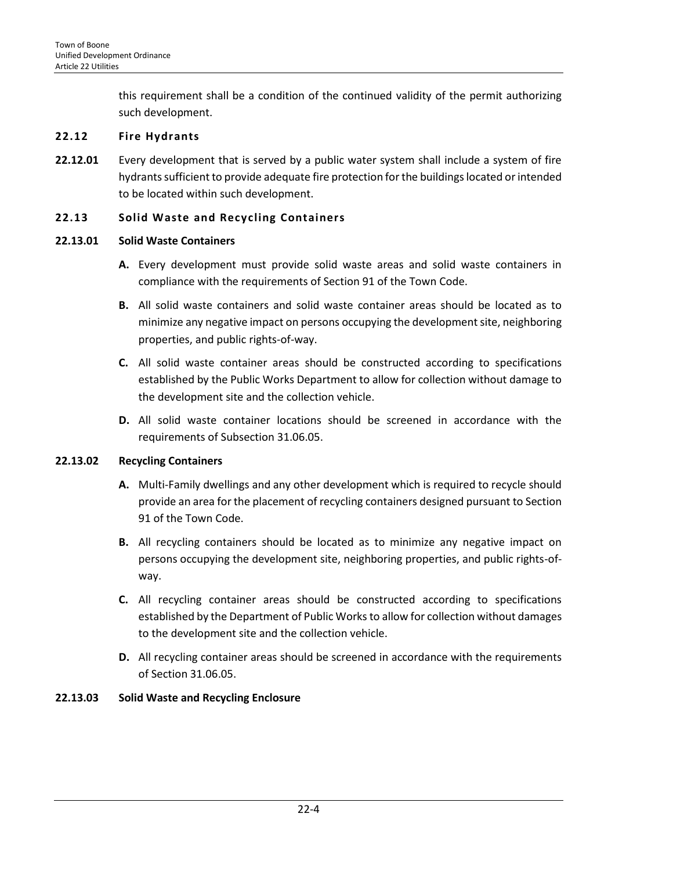this requirement shall be a condition of the continued validity of the permit authorizing such development.

#### <span id="page-3-0"></span>**22.12 Fire Hydrants**

**22.12.01** Every development that is served by a public water system shall include a system of fire hydrants sufficient to provide adequate fire protection for the buildings located or intended to be located within such development.

#### <span id="page-3-1"></span>**22.13 Solid Waste and Recycling Containers**

#### **22.13.01 Solid Waste Containers**

- **A.** Every development must provide solid waste areas and solid waste containers in compliance with the requirements of Section 91 of the Town Code.
- **B.** All solid waste containers and solid waste container areas should be located as to minimize any negative impact on persons occupying the development site, neighboring properties, and public rights-of-way.
- **C.** All solid waste container areas should be constructed according to specifications established by the Public Works Department to allow for collection without damage to the development site and the collection vehicle.
- **D.** All solid waste container locations should be screened in accordance with the requirements of Subsection 31.06.05.

## **22.13.02 Recycling Containers**

- **A.** Multi-Family dwellings and any other development which is required to recycle should provide an area for the placement of recycling containers designed pursuant to Section 91 of the Town Code.
- **B.** All recycling containers should be located as to minimize any negative impact on persons occupying the development site, neighboring properties, and public rights-ofway.
- **C.** All recycling container areas should be constructed according to specifications established by the Department of Public Works to allow for collection without damages to the development site and the collection vehicle.
- **D.** All recycling container areas should be screened in accordance with the requirements of Section 31.06.05.

## **22.13.03 Solid Waste and Recycling Enclosure**